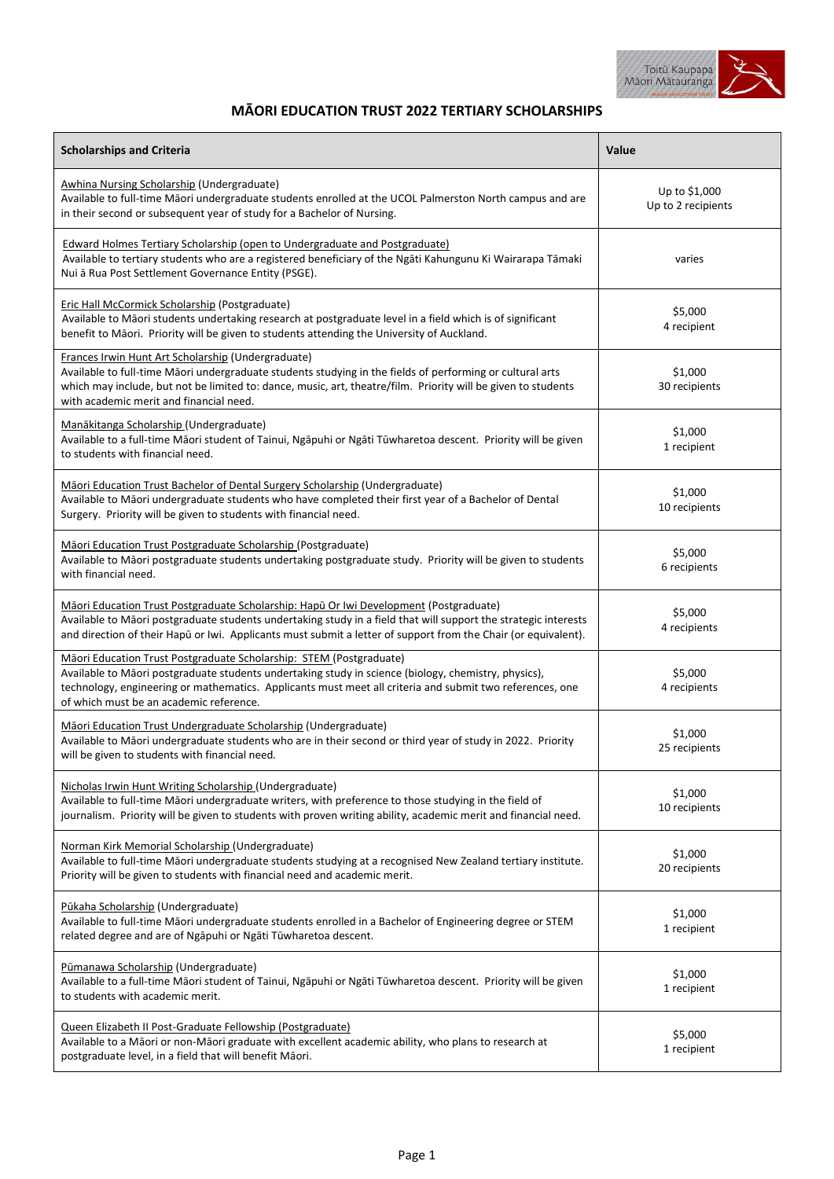

## **MĀORI EDUCATION TRUST 2022 TERTIARY SCHOLARSHIPS**

| <b>Scholarships and Criteria</b>                                                                                                                                                                                                                                                                                                   | Value                               |
|------------------------------------------------------------------------------------------------------------------------------------------------------------------------------------------------------------------------------------------------------------------------------------------------------------------------------------|-------------------------------------|
| <b>Awhina Nursing Scholarship (Undergraduate)</b><br>Available to full-time Māori undergraduate students enrolled at the UCOL Palmerston North campus and are<br>in their second or subsequent year of study for a Bachelor of Nursing.                                                                                            | Up to \$1,000<br>Up to 2 recipients |
| <b>Edward Holmes Tertiary Scholarship (open to Undergraduate and Postgraduate)</b><br>Available to tertiary students who are a registered beneficiary of the Ngāti Kahungunu Ki Wairarapa Tāmaki<br>Nui ā Rua Post Settlement Governance Entity (PSGE).                                                                            | varies                              |
| Eric Hall McCormick Scholarship (Postgraduate)<br>Available to Māori students undertaking research at postgraduate level in a field which is of significant<br>benefit to Māori. Priority will be given to students attending the University of Auckland.                                                                          | \$5,000<br>4 recipient              |
| Frances Irwin Hunt Art Scholarship (Undergraduate)<br>Available to full-time Māori undergraduate students studying in the fields of performing or cultural arts<br>which may include, but not be limited to: dance, music, art, theatre/film. Priority will be given to students<br>with academic merit and financial need.        | \$1,000<br>30 recipients            |
| Manākitanga Scholarship (Undergraduate)<br>Available to a full-time Māori student of Tainui, Ngāpuhi or Ngāti Tūwharetoa descent. Priority will be given<br>to students with financial need.                                                                                                                                       | \$1,000<br>1 recipient              |
| Māori Education Trust Bachelor of Dental Surgery Scholarship (Undergraduate)<br>Available to Māori undergraduate students who have completed their first year of a Bachelor of Dental<br>Surgery. Priority will be given to students with financial need.                                                                          | \$1,000<br>10 recipients            |
| Māori Education Trust Postgraduate Scholarship (Postgraduate)<br>Available to Māori postgraduate students undertaking postgraduate study. Priority will be given to students<br>with financial need.                                                                                                                               | \$5,000<br>6 recipients             |
| Māori Education Trust Postgraduate Scholarship: Hapū Or Iwi Development (Postgraduate)<br>Available to Māori postgraduate students undertaking study in a field that will support the strategic interests<br>and direction of their Hapū or Iwi. Applicants must submit a letter of support from the Chair (or equivalent).        | \$5,000<br>4 recipients             |
| Māori Education Trust Postgraduate Scholarship: STEM (Postgraduate)<br>Available to Māori postgraduate students undertaking study in science (biology, chemistry, physics),<br>technology, engineering or mathematics. Applicants must meet all criteria and submit two references, one<br>of which must be an academic reference. | \$5,000<br>4 recipients             |
| Māori Education Trust Undergraduate Scholarship (Undergraduate)<br>Available to Māori undergraduate students who are in their second or third year of study in 2022. Priority<br>will be given to students with financial need.                                                                                                    | \$1,000<br>25 recipients            |
| Nicholas Irwin Hunt Writing Scholarship (Undergraduate)<br>Available to full-time Māori undergraduate writers, with preference to those studying in the field of<br>journalism. Priority will be given to students with proven writing ability, academic merit and financial need.                                                 | \$1,000<br>10 recipients            |
| Norman Kirk Memorial Scholarship (Undergraduate)<br>Available to full-time Māori undergraduate students studying at a recognised New Zealand tertiary institute.<br>Priority will be given to students with financial need and academic merit.                                                                                     | \$1,000<br>20 recipients            |
| Pūkaha Scholarship (Undergraduate)<br>Available to full-time Māori undergraduate students enrolled in a Bachelor of Engineering degree or STEM<br>related degree and are of Ngapuhi or Ngati Tūwharetoa descent.                                                                                                                   | \$1,000<br>1 recipient              |
| Pūmanawa Scholarship (Undergraduate)<br>Available to a full-time Māori student of Tainui, Ngāpuhi or Ngāti Tūwharetoa descent. Priority will be given<br>to students with academic merit.                                                                                                                                          | \$1,000<br>1 recipient              |
| Queen Elizabeth II Post-Graduate Fellowship (Postgraduate)<br>Available to a Māori or non-Māori graduate with excellent academic ability, who plans to research at<br>postgraduate level, in a field that will benefit Māori.                                                                                                      | \$5,000<br>1 recipient              |